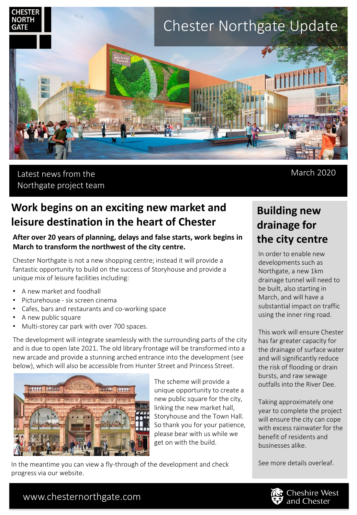

## Latest news from the Northgate project team

March 2020

# **Work begins on an exciting new market and leisure destination in the heart of Chester**

### **After over 20 years of planning, delays and false starts, work begins in March to transform the northwest of the city centre.**

Chester Northgate is not a new shopping centre; instead it will provide a fantastic opportunity to build on the success of Storyhouse and provide a unique mix of leisure facilities including:

- A new market and foodhall
- Picturehouse six screen cinema
- Cafes, bars and restaurants and co-working space
- A new public square
- Multi-storey car park with over 700 spaces.

The development will integrate seamlessly with the surrounding parts of the city and is due to open late 2021. The old library frontage will be transformed into a new arcade and provide a stunning arched entrance into the development (see below), which will also be accessible from Hunter Street and Princess Street.



The scheme will provide a unique opportunity to create a new public square for the city, linking the new market hall, Storyhouse and the Town Hall. So thank you for your patience, please bear with us while we get on with the build.

In the meantime you can view a fly-through of the development and check See more details overleaf. progress via our website.

# **Building new drainage for the city centre**

In order to enable new developments such as Northgate, a new 1km drainage tunnel will need to be built, also starting in March, and will have a substantial impact on traffic using the inner ring road.

This work will ensure Chester has far greater capacity for the drainage of surface water and will significantly reduce the risk of flooding or drain bursts, and raw sewage outfalls into the River Dee.

Taking approximately one year to complete the project will ensure the city can cope with excess rainwater for the benefit of residents and businesses alike.



## www.chesternorthgate.com